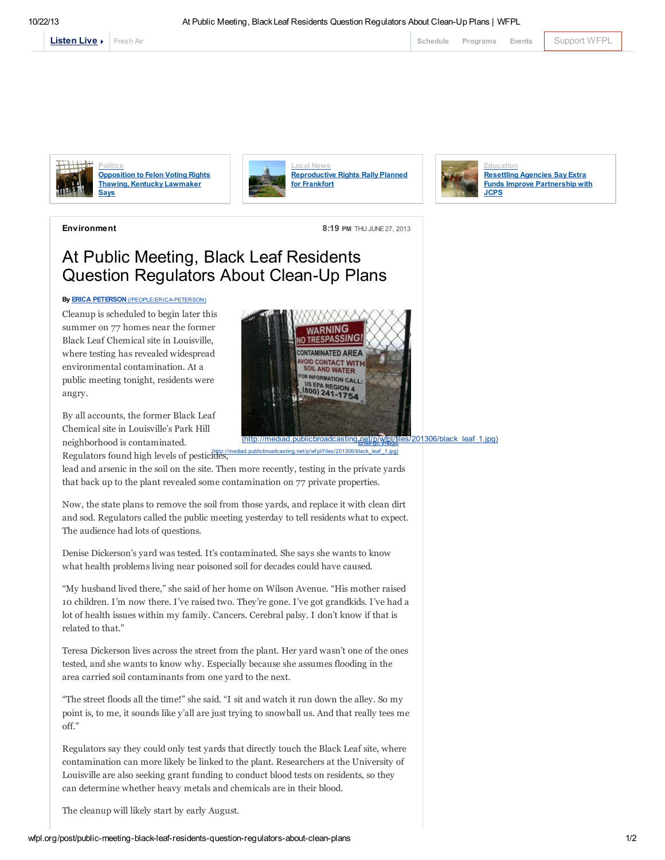



**Politics** [Opposition](http://wfpl.org/post/opposition-felon-voting-rights-thawing-kentucky-lawmaker-says) to Felon Voting Rights Thawing, Kentucky Lawmaker Says



[Reproductive](http://wfpl.org/post/reproductive-rights-rally-planned-frankfort) Rights Rally Planned for Frankfort



Environment 8:19 PM THU JUNE 27, 2013

## At Public Meeting, Black Leaf Residents Question Regulators About Clean-Up Plans

## By **ERICA PETERSON** [\(/PEOPLE/ERICA-PETERSON\)](http://wfpl.org/people/erica-peterson)

Cleanup is scheduled to begin later this summer on 77 homes near the former Black Leaf Chemical site in Louisville, where testing has revealed widespread environmental contamination. At a public meeting tonight, residents were angry.

By all accounts, the former Black Leaf Chemical site in Louisville's Park Hill neighborhood is contaminated.

Regulators found high levels of pesticides,



(badcasting.net/p/wf pl/files/201306/black\_leaf \_1.jpg)

lead and arsenic in the soil on the site. Then more recently, testing in the private yards that back up to the plant revealed some contamination on 77 private properties.

Now, the state plans to remove the soil from those yards, and replace it with clean dirt and sod. Regulators called the public meeting yesterday to tell residents what to expect. The audience had lots of questions.

Denise Dickerson's yard was tested. It's contaminated. She says she wants to know what health problems living near poisoned soil for decades could have caused.

"My husband lived there," she said of her home on Wilson Avenue. "His mother raised 10 children. I'm now there. I've raised two. They're gone. I've got grandkids. I've had a lot of health issues within my family. Cancers. Cerebral palsy. I don't know if that is related to that."

Teresa Dickerson lives across the street from the plant. Her yard wasn't one of the ones tested, and she wants to know why. Especially because she assumes flooding in the area carried soil contaminants from one yard to the next.

"The street floods all the time!" she said. "I sit and watch it run down the alley. So my point is, to me, it sounds like y'all are just trying to snowball us. And that really tees me off."

Regulators say they could only test yards that directly touch the Black Leaf site, where contamination can more likely be linked to the plant. Researchers at the University of Louisville are also seeking grant funding to conduct blood tests on residents, so they can determine whether heavy metals and chemicals are in their blood.

The cleanup will likely start by early August.